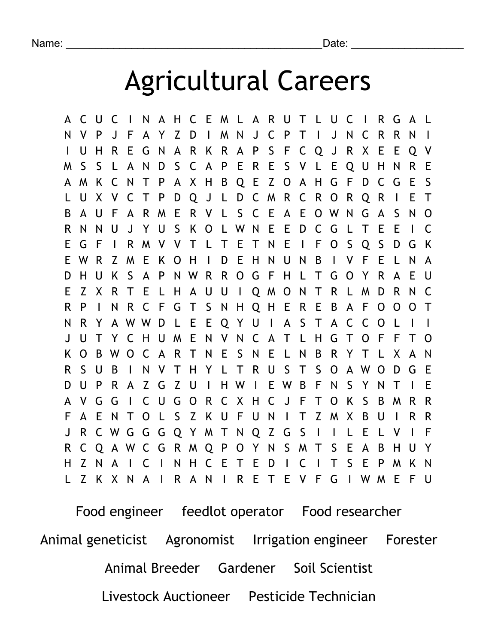## Agricultural Careers

A C U C I N A H C E M L A R U T L U C I R G A L N V P J F A Y Z D I M N J C P T I J N C R R N I I U H R E G N A R K R A P S F C Q J R X E E Q V M S S L A N D S C A P E R E S V L E Q U H N R E A M K C N T P A X H B Q E Z O A H G F D C G E S L U X V C T P D Q J L D C M R C R O R Q R I E T B A U F A R M E R V L S C E A E O W N G A S N O R N N U J Y U S K O L W N E E D C G L T E E I C E G F I R M V V T L T E T N E I F O S Q S D G K E W R Z M E K O H I D E H N U N B I V F E L N A D H U K S A P N W R R O G F H L T G O Y R A E U E Z X R T E L H A U U I Q M O N T R L M D R N C R P I N R C F G T S N H Q H E R E B A F O O O T N R Y A W W D L E E Q Y U I A S T A C C O L I I J U T Y C H U M E N V N C A T L H G T O F F K O B W O C A R T N E S N E L N B R Y T L X A N R S U B I N V T H Y L T R U S T S O A W O D G E D U P R A Z G Z U I H W I E W B F N S Y N T I E A V G G I C U G O R C X H C J F T O K S B M R R F A E N T O L S Z K U F U N I T Z M X B U I R R J R C W G G G Q Y M T N Q Z G S I I L E L V I F R C Q A W C G R M Q P O Y N S M T S E A B H U Y H Z N A I C I N H C E T E D I C I T S E P M K N L Z K X N A I R A N I R E T E V F G I W M E F U

Food engineer feedlot operator Food researcher Animal geneticist Agronomist Irrigation engineer Forester Animal Breeder Gardener Soil Scientist Livestock Auctioneer Pesticide Technician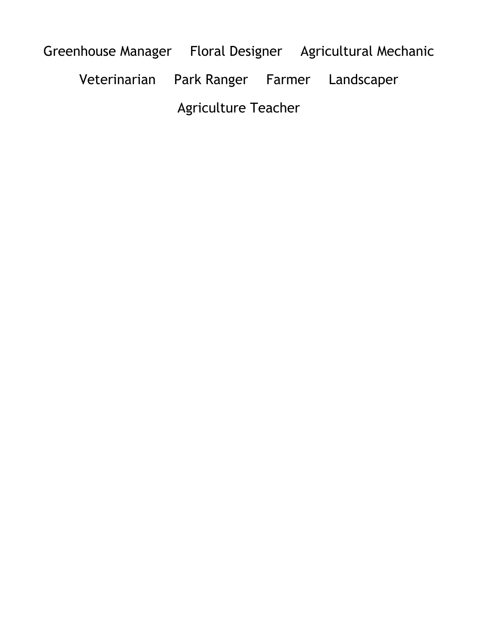Greenhouse Manager Floral Designer Agricultural Mechanic Veterinarian Park Ranger Farmer Landscaper Agriculture Teacher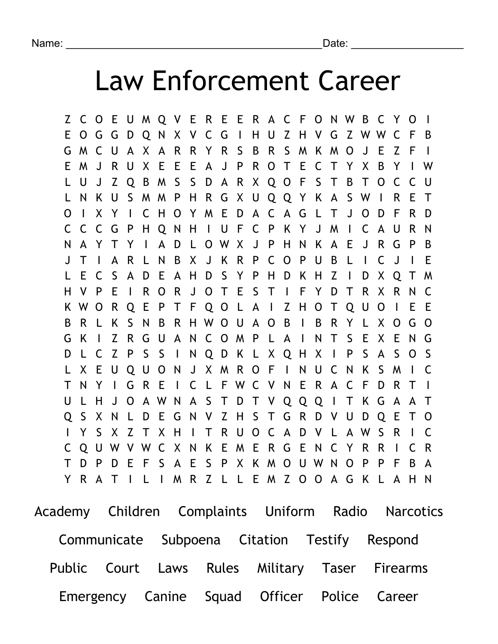## Law Enforcement Career

Z C O E U M Q V E R E E R A C F O N W B C Y O I E O G G D Q N X V C G I H U Z H V G Z W W C F B G M C U A X A R R Y R S B R S M K M O J E Z F I E M J R U X E E E A J P R O T E C T Y X B Y I W L U J Z Q B M S S D A R X Q O F S T B T O C C U L N K U S M M P H R G X U Q Q Y K A S W I R E T O I X Y I C H O Y M E D A C A G L T J O D F R D C C C G P H Q N H I U F C P K Y J M I C A U R N N A Y T Y I A D L O W X J P H N K A E J R G P B J T I A R L N B X J K R P C O P U B L I C J I E L E C S A D E A H D S Y P H D K H Z I D X Q T M H V P E I R O R J O T E S T I F Y D T R X R N C K W O R Q E P T F Q O L A I Z H O T Q U O I E E B R L K S N B R H W O U A O B I B R Y L X O G O G K I Z R G U A N C O M P L A I N T S E X E N G D L C Z P S S I N Q D K L X Q H X I P S A S O S L X E U Q U O N J X M R O F I N U C N K S M I C T N Y I G R E I C L F W C V N E R A C F D R T I U L H J O A W N A S T D T V Q Q Q I T K G A A T Q S X N L D E G N V Z H S T G R D V U D Q E T O I Y S X Z T X H I T R U O C A D V L A W S R I C C Q U W V W C X N K E M E R G E N C Y R R I C R T D P D E F S A E S P X K M O U W N O P P F B A Y R A T I L I M R Z L L E M Z O O A G K L A H N

Academy Children Complaints Uniform Radio Narcotics Communicate Subpoena Citation Testify Respond Public Court Laws Rules Military Taser Firearms Emergency Canine Squad Officer Police Career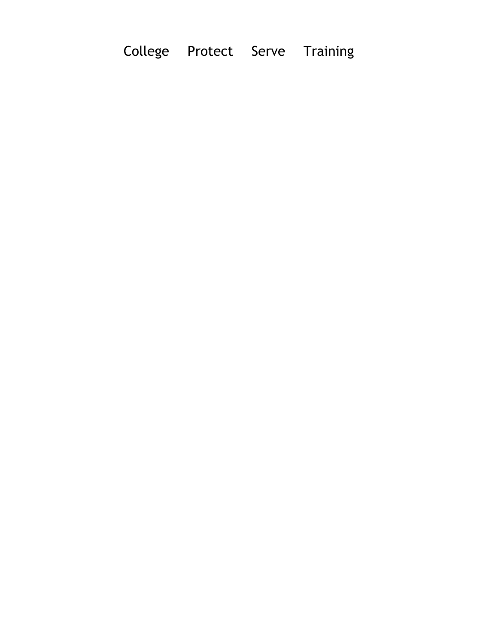College Protect Serve Training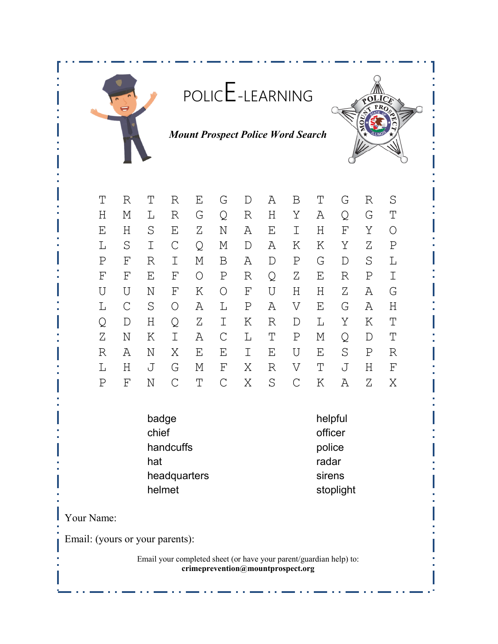

Q D H Q Z I K R D L Y K T Z N K I A C L T P M Q D T R A N X E E I E U E S P R L H J G M F X R V T J H F P F N C T C X S C K A Z X

> badge helpful chief officer handcuffs **police** hat radar not be a state of the radar headquarters sirens

helmet stoplight

Your Name:

Email: (yours or your parents):

Email your completed sheet (or have your parent/guardian help) to: **crimeprevention@mountprospect.org**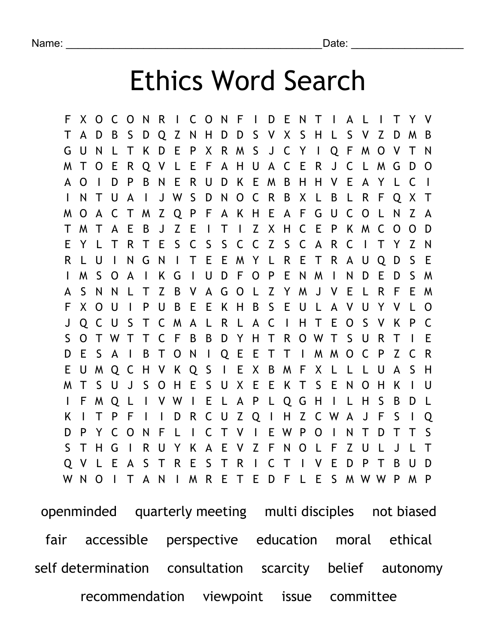## Ethics Word Search

F X O C O N R I C O N F I D E N T I A L I T Y V T A D B S D Q Z N H D D S V X S H L S V Z D M B G U N L T K D E P X R M S J C Y I Q F M O V T N M T O E R Q V L E F A H U A C E R J C L M G D O A O I D P B N E R U D K E M B H H V E A Y L C I I N T U A I J W S D N O C R B X L B L R F Q X T M O A C T M Z Q P F A K H E A F G U C O L N Z A T M T A E B J Z E I T I Z X H C E P K M C O O D E Y L T R T E S C S S C C Z S C A R C I T Y Z N R L U I N G N I T E E M Y L R E T R A U Q D S E I M S O A I K G I U D F O P E N M I N D E D S M A S N N L T Z B V A G O L Z Y M J V E L R F E M F X O U I P U B E E K H B S E U L A V U Y V L O J Q C U S T C M A L R L A C I H T E O S V K P C S O T W T T C F B B D Y H T R O W T S U R T I E D E S A I B T O N I Q E E T T I M M O C P Z C R E U M Q C H V K Q S I E X B M F X L L L U A S H M T S U J S O H E S U X E E K T S E N O H K I U I F M Q L I V W I E L A P L Q G H I L H S B D L K I T P F I I D R C U Z Q I H Z C W A J F S I Q D P Y C O N F L I C T V I E W P O I N T D T T S S T H G I R U Y K A E V Z F N O L F Z U L J L T Q V L E A S T R E S T R I C T I V E D P T B U D W N O I T A N I M R E T E D F L E S M W W P M P

openminded quarterly meeting multi disciples not biased fair accessible perspective education moral ethical self determination consultation scarcity belief autonomy recommendation viewpoint issue committee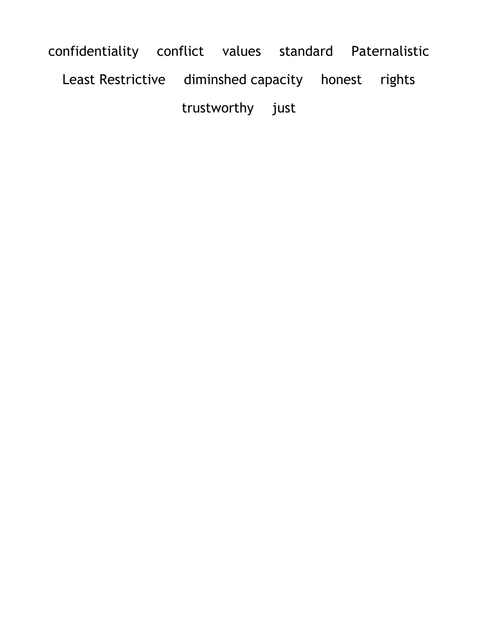confidentiality conflict values standard Paternalistic Least Restrictive diminshed capacity honest rights trustworthy just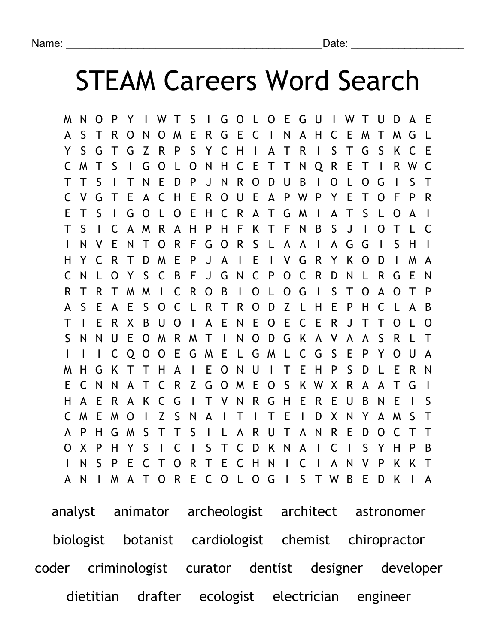## STEAM Careers Word Search

M N O P Y I W T S I G O L O E G U I W T U D A E A S T R O N O M E R G E C I N A H C E M T M G L Y S G T G Z R P S Y C H I A T R I S T G S K C E C M T S I G O L O N H C E T T N Q R E T I R W C T T S I T N E D P J N R O D U B I O L O G I S T C V G T E A C H E R O U E A P W P Y E T O F P R E T S I G O L O E H C R A T G M I A T S L O A I T S I C A M R A H P H F K T F N B S J I O T L C I N V E N T O R F G O R S L A A I A G G I S H I H Y C R T D M E P J A I E I V G R Y K O D I M A C N L O Y S C B F J G N C P O C R D N L R G E N R T R T M M I C R O B I O L O G I S T O A O T P A S E A E S O C L R T R O D Z L H E P H C L A B T I E R X B U O I A E N E O E C E R J T T O L O S N N U E O M R M T I N O D G K A V A A S R L T I I I C Q O O E G M E L G M L C G S E P Y O U A M H G K T T H A I E O N U I T E H P S D L E R N E C N N A T C R Z G O M E O S K W X R A A T G I H A E R A K C G I T V N R G H E R E U B N E I S C M E M O I Z S N A I T I T E I D X N Y A M S T A P H G M S T T S I L A R U T A N R E D O C T T O X P H Y S I C I S T C D K N A I C I S Y H P B I N S P E C T O R T E C H N I C I A N V P K K T A N I M A T O R E C O L O G I S T W B E D K I A

analyst animator archeologist architect astronomer biologist botanist cardiologist chemist chiropractor coder criminologist curator dentist designer developer dietitian drafter ecologist electrician engineer